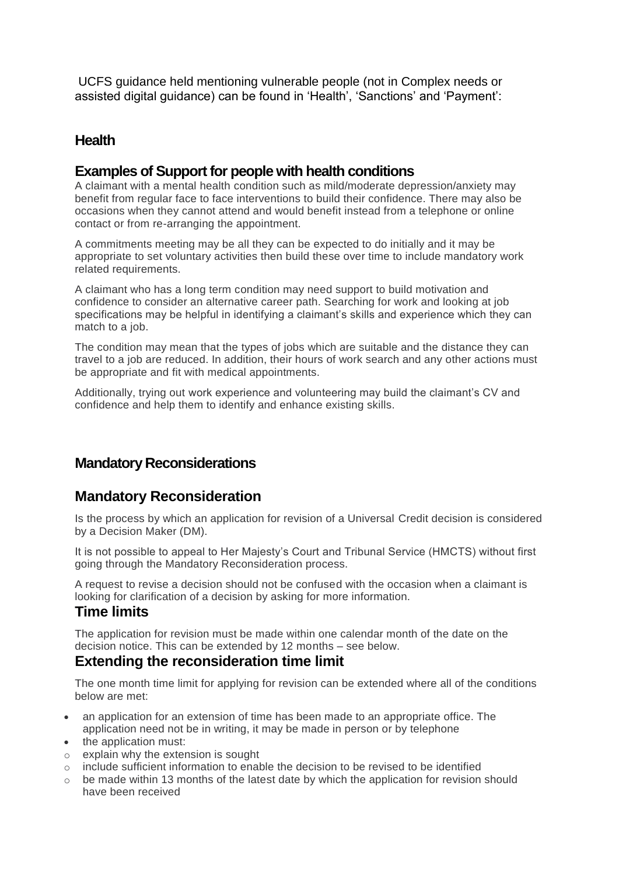UCFS guidance held mentioning vulnerable people (not in Complex needs or assisted digital guidance) can be found in 'Health', 'Sanctions' and 'Payment':

## **Health**

### **Examples of Support for people with health conditions**

A claimant with a mental health condition such as mild/moderate depression/anxiety may benefit from regular face to face interventions to build their confidence. There may also be occasions when they cannot attend and would benefit instead from a telephone or online contact or from re-arranging the appointment.

A commitments meeting may be all they can be expected to do initially and it may be appropriate to set voluntary activities then build these over time to include mandatory work related requirements.

A claimant who has a long term condition may need support to build motivation and confidence to consider an alternative career path. Searching for work and looking at job specifications may be helpful in identifying a claimant's skills and experience which they can match to a job.

The condition may mean that the types of jobs which are suitable and the distance they can travel to a job are reduced. In addition, their hours of work search and any other actions must be appropriate and fit with medical appointments.

Additionally, trying out work experience and volunteering may build the claimant's CV and confidence and help them to identify and enhance existing skills.

## **Mandatory Reconsiderations**

### **Mandatory Reconsideration**

Is the process by which an application for revision of a Universal Credit decision is considered by a Decision Maker (DM).

It is not possible to appeal to Her Majesty's Court and Tribunal Service (HMCTS) without first going through the Mandatory Reconsideration process.

A request to revise a decision should not be confused with the occasion when a claimant is looking for clarification of a decision by asking for more information.

## **Time limits**

The application for revision must be made within one calendar month of the date on the decision notice. This can be extended by 12 months – see below.

### **Extending the reconsideration time limit**

The one month time limit for applying for revision can be extended where all of the conditions below are met:

- an application for an extension of time has been made to an appropriate office. The application need not be in writing, it may be made in person or by telephone
- the application must:
- o explain why the extension is sought
- $\circ$  include sufficient information to enable the decision to be revised to be identified
- $\circ$  be made within 13 months of the latest date by which the application for revision should have been received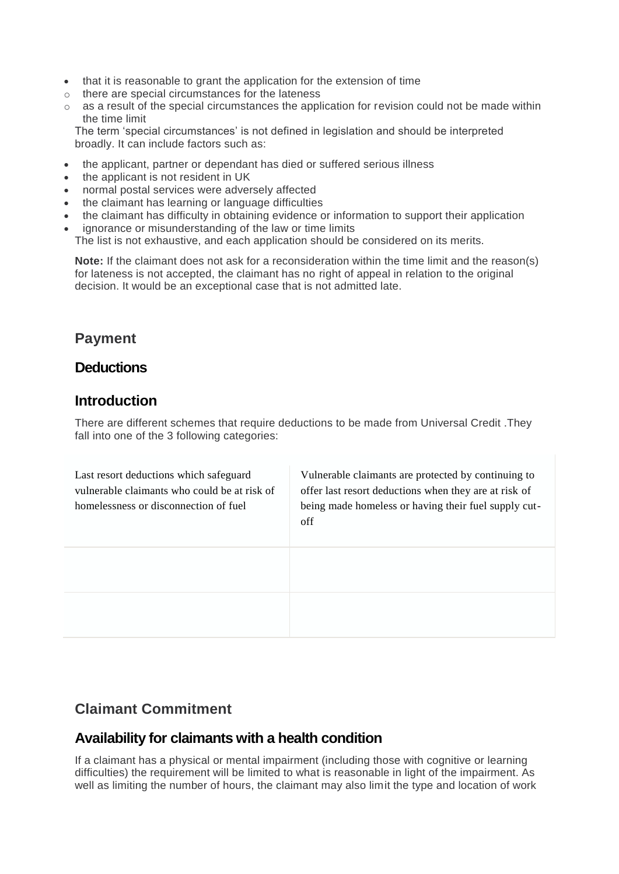- that it is reasonable to grant the application for the extension of time
- o there are special circumstances for the lateness
- o as a result of the special circumstances the application for revision could not be made within the time limit

The term 'special circumstances' is not defined in legislation and should be interpreted broadly. It can include factors such as:

- the applicant, partner or dependant has died or suffered serious illness
- the applicant is not resident in UK
- normal postal services were adversely affected
- the claimant has learning or language difficulties
- the claimant has difficulty in obtaining evidence or information to support their application
- ignorance or misunderstanding of the law or time limits The list is not exhaustive, and each application should be considered on its merits.

**Note:** If the claimant does not ask for a reconsideration within the time limit and the reason(s) for lateness is not accepted, the claimant has no right of appeal in relation to the original decision. It would be an exceptional case that is not admitted late.

# **Payment**

## **Deductions**

## **Introduction**

There are different schemes that require deductions to be made from Universal Credit .They fall into one of the 3 following categories:

| Last resort deductions which safeguard<br>vulnerable claimants who could be at risk of<br>homelessness or disconnection of fuel | Vulnerable claimants are protected by continuing to<br>offer last resort deductions when they are at risk of<br>being made homeless or having their fuel supply cut-<br>off |
|---------------------------------------------------------------------------------------------------------------------------------|-----------------------------------------------------------------------------------------------------------------------------------------------------------------------------|
|                                                                                                                                 |                                                                                                                                                                             |
|                                                                                                                                 |                                                                                                                                                                             |

# **Claimant Commitment**

### **Availability for claimants with a health condition**

If a claimant has a physical or mental impairment (including those with cognitive or learning difficulties) the requirement will be limited to what is reasonable in light of the impairment. As well as limiting the number of hours, the claimant may also limit the type and location of work